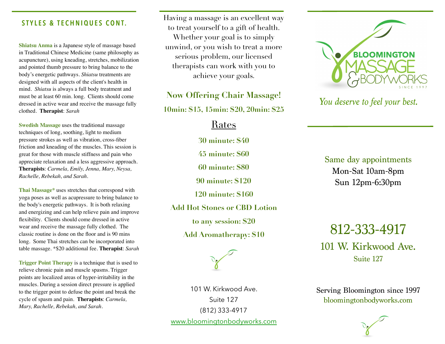## **STYLES & TECHNIQUES CONT.**

**Shiatsu Anma** is a Japanese style of massage based in Traditional Chinese Medicine (same philosophy as acupuncture), using kneading, stretches, mobilization and pointed thumb pressure to bring balance to the body's energetic pathways. *Shiatsu* treatments are designed with all aspects of the client's health in mind. *Shiatsu* is always a full body treatment and must be at least 60 min. long. Clients should come dressed in active wear and receive the massage fully clothed. **Therapist**: *Sarah*

**Swedish Massage** uses the traditional massage techniques of long, soothing, light to medium pressure strokes as well as vibration, cross-fiber friction and kneading of the muscles. This session is great for those with muscle stiffness and pain who appreciate relaxation and a less aggressive approach. **Therapists**: *Carmela, Emily, Jenna, Mary, Neysa, Rachelle, Rebekah, and Sarah.*

**Thai Massage\*** uses stretches that correspond with yoga poses as well as acupressure to bring balance to the body's energetic pathways. It is both relaxing and energizing and can help relieve pain and improve flexibility. Clients should come dressed in active wear and receive the massage fully clothed. The classic routine is done on the floor and is 90 mins long. Some Thai stretches can be incorporated into table massage. \*\$20 additional fee. **Therapist**: *Sarah* 

**Trigger Point Therapy** is a technique that is used to relieve chronic pain and muscle spasms. Trigger points are localized areas of hyper-irritability in the muscles. During a session direct pressure is applied to the trigger point to defuse the point and break the cycle of spasm and pain. **Therapists**: *Carmela, Mary, Rachelle, Rebekah, and Sarah.*

Having a massage is an excellent way to treat yourself to a gift of health. Whether your goal is to simply unwind, or you wish to treat a more serious problem, our licensed therapists can work with you to achieve your goals.

**Now Offering Chair Massage!** 

**10min: \$15, 15min: \$20, 20min: \$25** 

Rates

**30 minute: \$40** 

**45 minute: \$60** 

**60 minute: \$80** 

**90 minute: \$120** 

**120 minute: \$160** 

**Add Hot Stones or CBD Lotion** 

**to any session: \$20** 

**Add Aromatherapy: \$10** 



101 W. Kirkwood Ave. Suite 127 (812) 333-4917 [www.bloomingtonbodyworks.com](http://www.bloomingtonbodyworks.com)



*You deserve to feel your best.* 

Same day appointments Mon-Sat 10am-8pm Sun 12pm-6:30pm

812-333-4917 101 W. Kirkwood Ave. Suite 127

Serving Bloomington since 1997 bloomingtonbodyworks.com